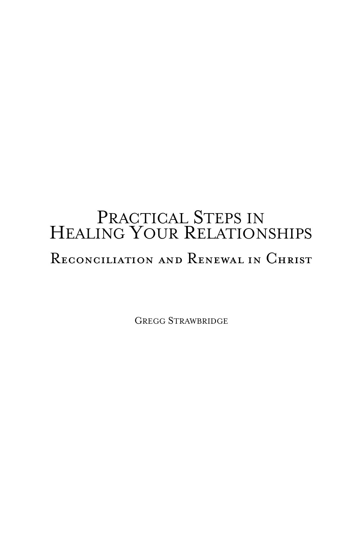# PRACTICAL STEPS IN<br>ING VOUP PELATION HEALING YOUR RELATIONSHIPS Reconciliation and Renewal in Christ

GREGG STRAWBRIDGE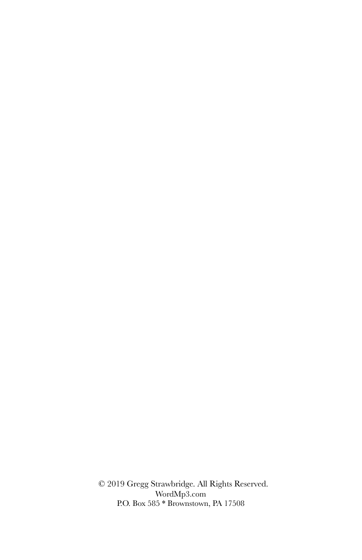© 2019 Gregg Strawbridge. All Rights Reserved. WordMp3.com P.O. Box 585 \* Brownstown, PA 17508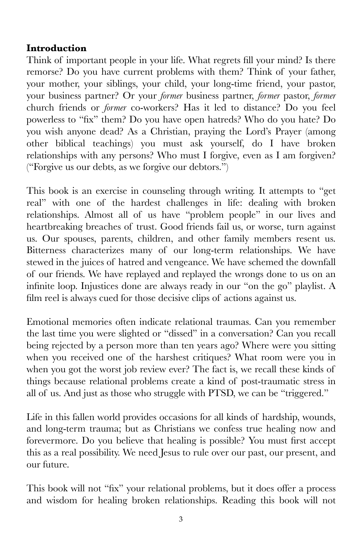#### **Introduction**

Think of important people in your life. What regrets fill your mind? Is there remorse? Do you have current problems with them? Think of your father, your mother, your siblings, your child, your long-time friend, your pastor, your business partner? Or your *former* business partner, *former* pastor, *former*  church friends or *former* co-workers? Has it led to distance? Do you feel powerless to "fix" them? Do you have open hatreds? Who do you hate? Do you wish anyone dead? As a Christian, praying the Lord's Prayer (among other biblical teachings) you must ask yourself, do I have broken relationships with any persons? Who must I forgive, even as I am forgiven? ("Forgive us our debts, as we forgive our debtors.")

This book is an exercise in counseling through writing. It attempts to "get real" with one of the hardest challenges in life: dealing with broken relationships. Almost all of us have "problem people" in our lives and heartbreaking breaches of trust. Good friends fail us, or worse, turn against us. Our spouses, parents, children, and other family members resent us. Bitterness characterizes many of our long-term relationships. We have stewed in the juices of hatred and vengeance. We have schemed the downfall of our friends. We have replayed and replayed the wrongs done to us on an infinite loop. Injustices done are always ready in our "on the go" playlist. A film reel is always cued for those decisive clips of actions against us.

Emotional memories often indicate relational traumas. Can you remember the last time you were slighted or "dissed" in a conversation? Can you recall being rejected by a person more than ten years ago? Where were you sitting when you received one of the harshest critiques? What room were you in when you got the worst job review ever? The fact is, we recall these kinds of things because relational problems create a kind of post-traumatic stress in all of us. And just as those who struggle with PTSD, we can be "triggered."

Life in this fallen world provides occasions for all kinds of hardship, wounds, and long-term trauma; but as Christians we confess true healing now and forevermore. Do you believe that healing is possible? You must first accept this as a real possibility. We need Jesus to rule over our past, our present, and our future.

This book will not "fix" your relational problems, but it does offer a process and wisdom for healing broken relationships. Reading this book will not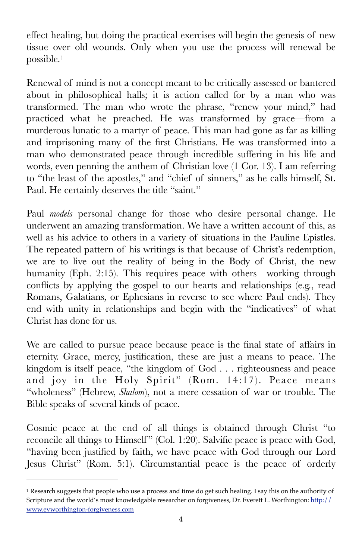<span id="page-3-1"></span>effect healing, but doing the practical exercises will begin the genesis of new tissue over old wounds. Only when you use the process will renewal be possible. [1](#page-3-0)

Renewal of mind is not a concept meant to be critically assessed or bantered about in philosophical halls; it is action called for by a man who was transformed. The man who wrote the phrase, "renew your mind," had practiced what he preached. He was transformed by grace—from a murderous lunatic to a martyr of peace. This man had gone as far as killing and imprisoning many of the first Christians. He was transformed into a man who demonstrated peace through incredible suffering in his life and words, even penning the anthem of Christian love (1 Cor. 13). I am referring to "the least of the apostles," and "chief of sinners," as he calls himself, St. Paul. He certainly deserves the title "saint."

Paul *models* personal change for those who desire personal change. He underwent an amazing transformation. We have a written account of this, as well as his advice to others in a variety of situations in the Pauline Epistles. The repeated pattern of his writings is that because of Christ's redemption, we are to live out the reality of being in the Body of Christ, the new humanity (Eph. 2:15). This requires peace with others—working through conflicts by applying the gospel to our hearts and relationships (e.g., read Romans, Galatians, or Ephesians in reverse to see where Paul ends). They end with unity in relationships and begin with the "indicatives" of what Christ has done for us.

We are called to pursue peace because peace is the final state of affairs in eternity. Grace, mercy, justification, these are just a means to peace. The kingdom is itself peace, "the kingdom of God . . . righteousness and peace and joy in the Holy Spirit" (Rom. 14:17). Peace means "wholeness" (Hebrew, *Shalom*), not a mere cessation of war or trouble. The Bible speaks of several kinds of peace.

Cosmic peace at the end of all things is obtained through Christ "to reconcile all things to Himself" (Col. 1:20). Salvific peace is peace with God, "having been justified by faith, we have peace with God through our Lord Jesus Christ" (Rom. 5:1). Circumstantial peace is the peace of orderly

<span id="page-3-0"></span>[<sup>1</sup>](#page-3-1) Research suggests that people who use a process and time do get such healing. I say this on the authority of Scripture and the world's most knowledgable researcher on forgiveness, Dr. Everett L. Worthington: [http://](http://www.evworthington-forgiveness.com) [www.evworthington-forgiveness.com](http://www.evworthington-forgiveness.com)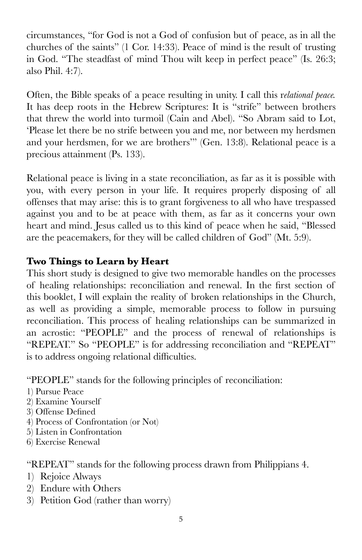circumstances, "for God is not a God of confusion but of peace, as in all the churches of the saints" (1 Cor. 14:33). Peace of mind is the result of trusting in God. "The steadfast of mind Thou wilt keep in perfect peace" (Is. 26:3; also Phil. 4:7).

Often, the Bible speaks of a peace resulting in unity. I call this r*elational peace.*  It has deep roots in the Hebrew Scriptures: It is "strife" between brothers that threw the world into turmoil (Cain and Abel). "So Abram said to Lot, 'Please let there be no strife between you and me, nor between my herdsmen and your herdsmen, for we are brothers'" (Gen. 13:8). Relational peace is a precious attainment (Ps. 133).

Relational peace is living in a state reconciliation, as far as it is possible with you, with every person in your life. It requires properly disposing of all offenses that may arise: this is to grant forgiveness to all who have trespassed against you and to be at peace with them, as far as it concerns your own heart and mind. Jesus called us to this kind of peace when he said, "Blessed are the peacemakers, for they will be called children of God" (Mt. 5:9).

## **Two Things to Learn by Heart**

This short study is designed to give two memorable handles on the processes of healing relationships: reconciliation and renewal. In the first section of this booklet, I will explain the reality of broken relationships in the Church, as well as providing a simple, memorable process to follow in pursuing reconciliation. This process of healing relationships can be summarized in an acrostic: "PEOPLE" and the process of renewal of relationships is "REPEAT." So "PEOPLE" is for addressing reconciliation and "REPEAT" is to address ongoing relational difficulties.

"PEOPLE" stands for the following principles of reconciliation:

- 1) Pursue Peace
- 2) Examine Yourself
- 3) Offense Defined
- 4) Process of Confrontation (or Not)
- 5) Listen in Confrontation
- 6) Exercise Renewal

"REPEAT" stands for the following process drawn from Philippians 4.

- 1) Rejoice Always
- 2) Endure with Others
- 3) Petition God (rather than worry)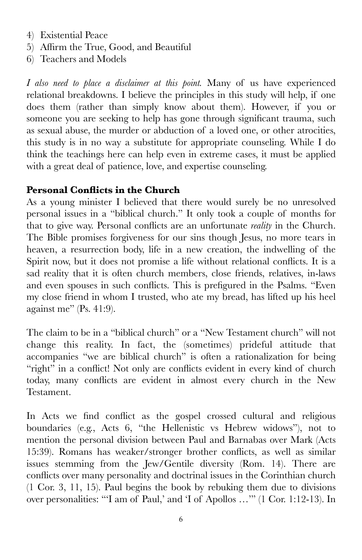- 4) Existential Peace
- 5) Affirm the True, Good, and Beautiful
- 6) Teachers and Models

*I also need to place a disclaimer at this point.* Many of us have experienced relational breakdowns. I believe the principles in this study will help, if one does them (rather than simply know about them). However, if you or someone you are seeking to help has gone through significant trauma, such as sexual abuse, the murder or abduction of a loved one, or other atrocities, this study is in no way a substitute for appropriate counseling. While I do think the teachings here can help even in extreme cases, it must be applied with a great deal of patience, love, and expertise counseling.

#### **Personal Conflicts in the Church**

As a young minister I believed that there would surely be no unresolved personal issues in a "biblical church." It only took a couple of months for that to give way. Personal conflicts are an unfortunate *reality* in the Church. The Bible promises forgiveness for our sins though Jesus, no more tears in heaven, a resurrection body, life in a new creation, the indwelling of the Spirit now, but it does not promise a life without relational conflicts. It is a sad reality that it is often church members, close friends, relatives, in-laws and even spouses in such conflicts. This is prefigured in the Psalms. "Even my close friend in whom I trusted, who ate my bread, has lifted up his heel against me" (Ps. 41:9).

The claim to be in a "biblical church" or a "New Testament church" will not change this reality. In fact, the (sometimes) prideful attitude that accompanies "we are biblical church" is often a rationalization for being "right" in a conflict! Not only are conflicts evident in every kind of church today, many conflicts are evident in almost every church in the New Testament.

In Acts we find conflict as the gospel crossed cultural and religious boundaries (e.g., Acts 6, "the Hellenistic vs Hebrew widows"), not to mention the personal division between Paul and Barnabas over Mark (Acts 15:39). Romans has weaker/stronger brother conflicts, as well as similar issues stemming from the Jew/Gentile diversity (Rom. 14). There are conflicts over many personality and doctrinal issues in the Corinthian church (1 Cor. 3, 11, 15). Paul begins the book by rebuking them due to divisions over personalities: "'I am of Paul,' and 'I of Apollos …'" (1 Cor. 1:12-13). In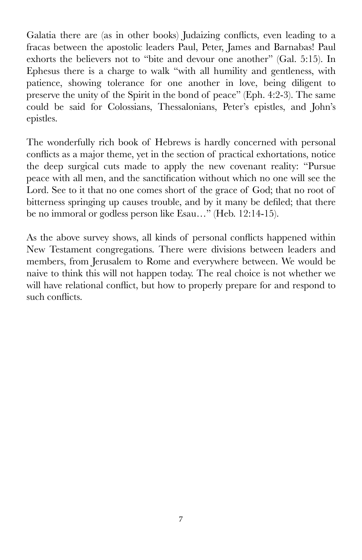Galatia there are (as in other books) Judaizing conflicts, even leading to a fracas between the apostolic leaders Paul, Peter, James and Barnabas! Paul exhorts the believers not to "bite and devour one another" (Gal. 5:15). In Ephesus there is a charge to walk "with all humility and gentleness, with patience, showing tolerance for one another in love, being diligent to preserve the unity of the Spirit in the bond of peace" (Eph. 4:2-3). The same could be said for Colossians, Thessalonians, Peter's epistles, and John's epistles.

The wonderfully rich book of Hebrews is hardly concerned with personal conflicts as a major theme, yet in the section of practical exhortations, notice the deep surgical cuts made to apply the new covenant reality: "Pursue peace with all men, and the sanctification without which no one will see the Lord. See to it that no one comes short of the grace of God; that no root of bitterness springing up causes trouble, and by it many be defiled; that there be no immoral or godless person like Esau…" (Heb. 12:14-15).

As the above survey shows, all kinds of personal conflicts happened within New Testament congregations. There were divisions between leaders and members, from Jerusalem to Rome and everywhere between. We would be naive to think this will not happen today. The real choice is not whether we will have relational conflict, but how to properly prepare for and respond to such conflicts.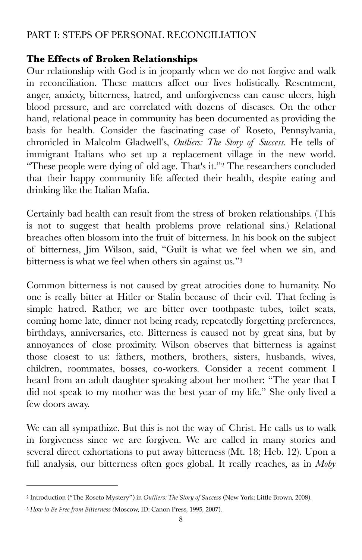#### PART I: STEPS OF PERSONAL RECONCILIATION

#### **The Effects of Broken Relationships**

Our relationship with God is in jeopardy when we do not forgive and walk in reconciliation. These matters affect our lives holistically. Resentment, anger, anxiety, bitterness, hatred, and unforgiveness can cause ulcers, high blood pressure, and are correlated with dozens of diseases. On the other hand, relational peace in community has been documented as providing the basis for health. Consider the fascinating case of Roseto, Pennsylvania, chronicled in Malcolm Gladwell's, *Outliers: The Story of Success.* He tells of immigrant Italians who set up a replacement village in the new world. "These people were dying of old age. That's it."<sup>[2](#page-7-0)</sup> The researchers concluded that their happy community life affected their health, despite eating and drinking like the Italian Mafia.

<span id="page-7-2"></span>Certainly bad health can result from the stress of broken relationships. (This is not to suggest that health problems prove relational sins.) Relational breaches often blossom into the fruit of bitterness. In his book on the subject of bitterness, Jim Wilson, said, "Guilt is what we feel when we sin, and bitterness is what we feel when others sin against us."<sup>3</sup>

<span id="page-7-3"></span>Common bitterness is not caused by great atrocities done to humanity. No one is really bitter at Hitler or Stalin because of their evil. That feeling is simple hatred. Rather, we are bitter over toothpaste tubes, toilet seats, coming home late, dinner not being ready, repeatedly forgetting preferences, birthdays, anniversaries, etc. Bitterness is caused not by great sins, but by annoyances of close proximity. Wilson observes that bitterness is against those closest to us: fathers, mothers, brothers, sisters, husbands, wives, children, roommates, bosses, co-workers. Consider a recent comment I heard from an adult daughter speaking about her mother: "The year that I did not speak to my mother was the best year of my life." She only lived a few doors away.

We can all sympathize. But this is not the way of Christ. He calls us to walk in forgiveness since we are forgiven. We are called in many stories and several direct exhortations to put away bitterness (Mt. 18; Heb. 12). Upon a full analysis, our bitterness often goes global. It really reaches, as in *Moby* 

<span id="page-7-0"></span>[<sup>2</sup>](#page-7-2) Introduction ("The Roseto Mystery") in *Outliers: The Story of Success* (New York: Little Brown, 2008).

<span id="page-7-1"></span>[<sup>3</sup>](#page-7-3) *How to Be Free from Bitterness (*Moscow, ID: Canon Press, 1995, 2007).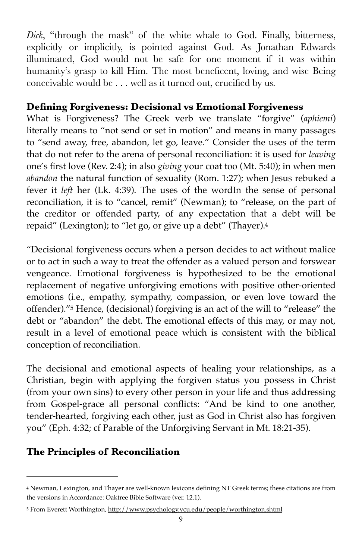*Dick*, "through the mask" of the white whale to God. Finally, bitterness, explicitly or implicitly, is pointed against God. As Jonathan Edwards illuminated, God would not be safe for one moment if it was within humanity's grasp to kill Him. The most beneficent, loving, and wise Being conceivable would be . . . well as it turned out, crucified by us.

#### **Defining Forgiveness: Decisional vs Emotional Forgiveness**

What is Forgiveness? The Greek verb we translate "forgive" (*aphiemi*) literally means to "not send or set in motion" and means in many passages to "send away, free, abandon, let go, leave." Consider the uses of the term that do not refer to the arena of personal reconciliation: it is used for *leaving* one's first love (Rev. 2:4); in also *giving* your coat too (Mt. 5:40); in when men *abandon* the natural function of sexuality (Rom. 1:27); when Jesus rebuked a fever it *left* her (Lk. 4:39). The uses of the wordIn the sense of personal reconciliation, it is to "cancel, remit" (Newman); to "release, on the part of the creditor or offended party, of any expectation that a debt will be repaid" (Lexington); to "let go, or give up a debt" (Thayer)[.4](#page-8-0)

<span id="page-8-3"></span><span id="page-8-2"></span>"Decisional forgiveness occurs when a person decides to act without malice or to act in such a way to treat the offender as a valued person and forswear vengeance. Emotional forgiveness is hypothesized to be the emotional replacement of negative unforgiving emotions with positive other-oriented emotions (i.e., empathy, sympathy, compassion, or even love toward the offender).["](#page-8-1)<sup>[5](#page-8-1)</sup> Hence, (decisional) forgiving is an act of the will to "release" the debt or "abandon" the debt. The emotional effects of this may, or may not, result in a level of emotional peace which is consistent with the biblical conception of reconciliation.

The decisional and emotional aspects of healing your relationships, as a Christian, begin with applying the forgiven status you possess in Christ (from your own sins) to every other person in your life and thus addressing from Gospel-grace all personal conflicts: "And be kind to one another, tender-hearted, forgiving each other, just as God in Christ also has forgiven you" (Eph. 4:32; cf Parable of the Unforgiving Servant in Mt. 18:21-35).

## **The Principles of Reconciliation**

<span id="page-8-0"></span>[<sup>4</sup>](#page-8-2) Newman, Lexington, and Thayer are well-known lexicons defining NT Greek terms; these citations are from the versions in Accordance: Oaktree Bible Software (ver. 12.1).

<span id="page-8-1"></span>[<sup>5</sup>](#page-8-3) From Everett Worthington,<http://www.psychology.vcu.edu/people/worthington.shtml>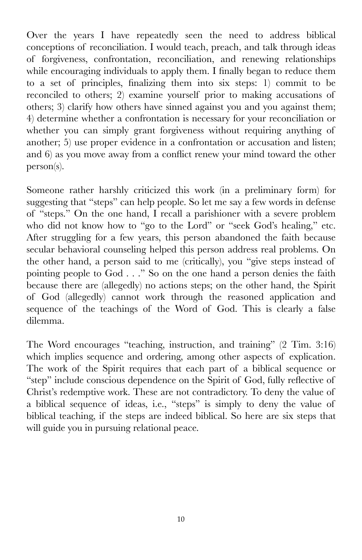Over the years I have repeatedly seen the need to address biblical conceptions of reconciliation. I would teach, preach, and talk through ideas of forgiveness, confrontation, reconciliation, and renewing relationships while encouraging individuals to apply them. I finally began to reduce them to a set of principles, finalizing them into six steps: 1) commit to be reconciled to others; 2) examine yourself prior to making accusations of others; 3) clarify how others have sinned against you and you against them; 4) determine whether a confrontation is necessary for your reconciliation or whether you can simply grant forgiveness without requiring anything of another; 5) use proper evidence in a confrontation or accusation and listen; and 6) as you move away from a conflict renew your mind toward the other person(s).

Someone rather harshly criticized this work (in a preliminary form) for suggesting that "steps" can help people. So let me say a few words in defense of "steps." On the one hand, I recall a parishioner with a severe problem who did not know how to "go to the Lord" or "seek God's healing," etc. After struggling for a few years, this person abandoned the faith because secular behavioral counseling helped this person address real problems. On the other hand, a person said to me (critically), you "give steps instead of pointing people to God . . ." So on the one hand a person denies the faith because there are (allegedly) no actions steps; on the other hand, the Spirit of God (allegedly) cannot work through the reasoned application and sequence of the teachings of the Word of God. This is clearly a false dilemma.

The Word encourages "teaching, instruction, and training" (2 Tim. 3:16) which implies sequence and ordering, among other aspects of explication. The work of the Spirit requires that each part of a biblical sequence or "step" include conscious dependence on the Spirit of God, fully reflective of Christ's redemptive work. These are not contradictory. To deny the value of a biblical sequence of ideas, i.e., "steps" is simply to deny the value of biblical teaching, if the steps are indeed biblical. So here are six steps that will guide you in pursuing relational peace.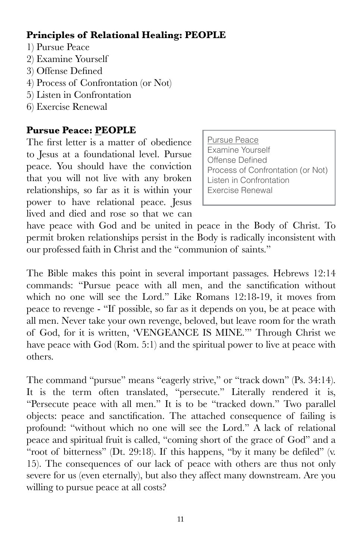## **Principles of Relational Healing: PEOPLE**

- 1) Pursue Peace
- 2) Examine Yourself
- 3) Offense Defined
- 4) Process of Confrontation (or Not)
- 5) Listen in Confrontation
- 6) Exercise Renewal

## **Pursue Peace: PEOPLE**

The first letter is a matter of obedience to Jesus at a foundational level. Pursue peace. You should have the conviction that you will not live with any broken relationships, so far as it is within your power to have relational peace. Jesus lived and died and rose so that we can

Pursue Peace Examine Yourself Offense Defined Process of Confrontation (or Not) Listen in Confrontation Exercise Renewal

have peace with God and be united in peace in the Body of Christ. To permit broken relationships persist in the Body is radically inconsistent with our professed faith in Christ and the "communion of saints."

The Bible makes this point in several important passages. Hebrews 12:14 commands: "Pursue peace with all men, and the sanctification without which no one will see the Lord." Like Romans 12:18-19, it moves from peace to revenge - "If possible, so far as it depends on you, be at peace with all men. Never take your own revenge, beloved, but leave room for the wrath of God, for it is written, 'VENGEANCE IS MINE.'" Through Christ we have peace with God (Rom. 5:1) and the spiritual power to live at peace with others.

The command "pursue" means "eagerly strive," or "track down" (Ps. 34:14). It is the term often translated, "persecute." Literally rendered it is, "Persecute peace with all men." It is to be "tracked down." Two parallel objects: peace and sanctification. The attached consequence of failing is profound: "without which no one will see the Lord." A lack of relational peace and spiritual fruit is called, "coming short of the grace of God" and a "root of bitterness" (Dt. 29:18). If this happens, "by it many be defiled" (v. 15). The consequences of our lack of peace with others are thus not only severe for us (even eternally), but also they affect many downstream. Are you willing to pursue peace at all costs?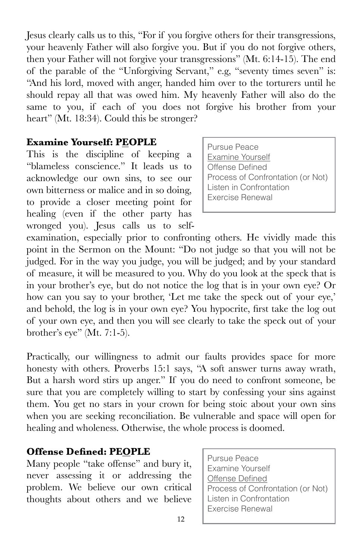Jesus clearly calls us to this, "For if you forgive others for their transgressions, your heavenly Father will also forgive you. But if you do not forgive others, then your Father will not forgive your transgressions" (Mt. 6:14-15). The end of the parable of the "Unforgiving Servant," e.g, "seventy times seven" is: "And his lord, moved with anger, handed him over to the torturers until he should repay all that was owed him. My heavenly Father will also do the same to you, if each of you does not forgive his brother from your heart" (Mt. 18:34). Could this be stronger?

#### **Examine Yourself: PEOPLE**

This is the discipline of keeping a "blameless conscience." It leads us to acknowledge our own sins, to see our own bitterness or malice and in so doing, to provide a closer meeting point for healing (even if the other party has wronged you). Jesus calls us to self-

Pursue Peace Examine Yourself Offense Defined Process of Confrontation (or Not) Listen in Confrontation Exercise Renewal

examination, especially prior to confronting others. He vividly made this point in the Sermon on the Mount: "Do not judge so that you will not be judged. For in the way you judge, you will be judged; and by your standard of measure, it will be measured to you. Why do you look at the speck that is in your brother's eye, but do not notice the log that is in your own eye? Or how can you say to your brother, 'Let me take the speck out of your eye,' and behold, the log is in your own eye? You hypocrite, first take the log out of your own eye, and then you will see clearly to take the speck out of your brother's eye" (Mt. 7:1-5).

Practically, our willingness to admit our faults provides space for more honesty with others. Proverbs 15:1 says, "A soft answer turns away wrath, But a harsh word stirs up anger." If you do need to confront someone, be sure that you are completely willing to start by confessing your sins against them. You get no stars in your crown for being stoic about your own sins when you are seeking reconciliation. Be vulnerable and space will open for healing and wholeness. Otherwise, the whole process is doomed.

#### **Offense Defined: PEOPLE**

Many people "take offense" and bury it, never assessing it or addressing the problem. We believe our own critical thoughts about others and we believe

Pursue Peace Examine Yourself Offense Defined Process of Confrontation (or Not) Listen in Confrontation Exercise Renewal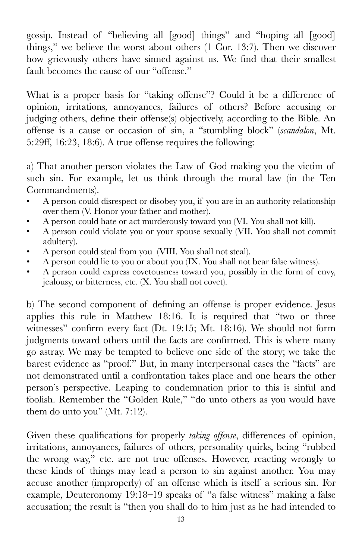gossip. Instead of "believing all [good] things" and "hoping all [good] things," we believe the worst about others (1 Cor. 13:7). Then we discover how grievously others have sinned against us. We find that their smallest fault becomes the cause of our "offense."

What is a proper basis for "taking offense"? Could it be a difference of opinion, irritations, annoyances, failures of others? Before accusing or judging others, define their offense(s) objectively, according to the Bible. An offense is a cause or occasion of sin, a "stumbling block" (*scandalon*, Mt. 5:29ff, 16:23, 18:6). A true offense requires the following:

a) That another person violates the Law of God making you the victim of such sin. For example, let us think through the moral law (in the Ten Commandments).

- A person could disrespect or disobey you, if you are in an authority relationship over them (V. Honor your father and mother).
- A person could hate or act murderously toward you (VI. You shall not kill).
- A person could violate you or your spouse sexually (VII. You shall not commit adultery).
- A person could steal from you (VIII. You shall not steal).
- A person could lie to you or about you (IX. You shall not bear false witness).
- A person could express covetousness toward you, possibly in the form of envy, jealousy, or bitterness, etc. (X. You shall not covet).

b) The second component of defining an offense is proper evidence. Jesus applies this rule in Matthew 18:16. It is required that "two or three witnesses" confirm every fact (Dt. 19:15; Mt. 18:16). We should not form judgments toward others until the facts are confirmed. This is where many go astray. We may be tempted to believe one side of the story; we take the barest evidence as "proof." But, in many interpersonal cases the "facts" are not demonstrated until a confrontation takes place and one hears the other person's perspective. Leaping to condemnation prior to this is sinful and foolish. Remember the "Golden Rule," "do unto others as you would have them do unto you" (Mt. 7:12).

Given these qualifications for properly *taking offense*, differences of opinion, irritations, annoyances, failures of others, personality quirks, being "rubbed the wrong way," etc. are not true offenses. However, reacting wrongly to these kinds of things may lead a person to sin against another. You may accuse another (improperly) of an offense which is itself a serious sin. For example, Deuteronomy 19:18–19 speaks of "a false witness" making a false accusation; the result is "then you shall do to him just as he had intended to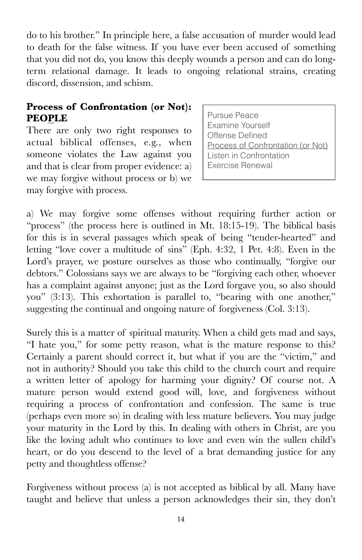do to his brother." In principle here, a false accusation of murder would lead to death for the false witness. If you have ever been accused of something that you did not do, you know this deeply wounds a person and can do longterm relational damage. It leads to ongoing relational strains, creating discord, dissension, and schism.

#### **Process of Confrontation (or Not): PEOPLE**

There are only two right responses to actual biblical offenses, e.g., when someone violates the Law against you and that is clear from proper evidence: a) we may forgive without process or b) we may forgive with process.

Pursue Peace Examine Yourself Offense Defined Process of Confrontation (or Not) Listen in Confrontation Exercise Renewal

a) We may forgive some offenses without requiring further action or "process" (the process here is outlined in Mt. 18:15-19). The biblical basis for this is in several passages which speak of being "tender-hearted" and letting "love cover a multitude of sins" (Eph. 4:32, 1 Pet. 4:8). Even in the Lord's prayer, we posture ourselves as those who continually, "forgive our debtors." Colossians says we are always to be "forgiving each other, whoever has a complaint against anyone; just as the Lord forgave you, so also should you" (3:13). This exhortation is parallel to, "bearing with one another," suggesting the continual and ongoing nature of forgiveness (Col. 3:13).

Surely this is a matter of spiritual maturity. When a child gets mad and says, "I hate you," for some petty reason, what is the mature response to this? Certainly a parent should correct it, but what if you are the "victim," and not in authority? Should you take this child to the church court and require a written letter of apology for harming your dignity? Of course not. A mature person would extend good will, love, and forgiveness without requiring a process of confrontation and confession. The same is true (perhaps even more so) in dealing with less mature believers. You may judge your maturity in the Lord by this. In dealing with others in Christ, are you like the loving adult who continues to love and even win the sullen child's heart, or do you descend to the level of a brat demanding justice for any petty and thoughtless offense?

Forgiveness without process (a) is not accepted as biblical by all. Many have taught and believe that unless a person acknowledges their sin, they don't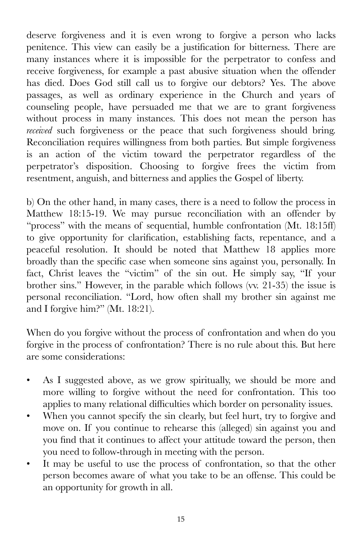deserve forgiveness and it is even wrong to forgive a person who lacks penitence. This view can easily be a justification for bitterness. There are many instances where it is impossible for the perpetrator to confess and receive forgiveness, for example a past abusive situation when the offender has died. Does God still call us to forgive our debtors? Yes. The above passages, as well as ordinary experience in the Church and years of counseling people, have persuaded me that we are to grant forgiveness without process in many instances. This does not mean the person has *received* such forgiveness or the peace that such forgiveness should bring. Reconciliation requires willingness from both parties. But simple forgiveness is an action of the victim toward the perpetrator regardless of the perpetrator's disposition. Choosing to forgive frees the victim from resentment, anguish, and bitterness and applies the Gospel of liberty.

b) On the other hand, in many cases, there is a need to follow the process in Matthew 18:15-19. We may pursue reconciliation with an offender by "process" with the means of sequential, humble confrontation (Mt. 18:15ff) to give opportunity for clarification, establishing facts, repentance, and a peaceful resolution. It should be noted that Matthew 18 applies more broadly than the specific case when someone sins against you, personally. In fact, Christ leaves the "victim" of the sin out. He simply say, "If your brother sins." However, in the parable which follows (vv. 21-35) the issue is personal reconciliation. "Lord, how often shall my brother sin against me and I forgive him?" (Mt. 18:21).

When do you forgive without the process of confrontation and when do you forgive in the process of confrontation? There is no rule about this. But here are some considerations:

- As I suggested above, as we grow spiritually, we should be more and more willing to forgive without the need for confrontation. This too applies to many relational difficulties which border on personality issues.
- When you cannot specify the sin clearly, but feel hurt, try to forgive and move on. If you continue to rehearse this (alleged) sin against you and you find that it continues to affect your attitude toward the person, then you need to follow-through in meeting with the person.
- It may be useful to use the process of confrontation, so that the other person becomes aware of what you take to be an offense. This could be an opportunity for growth in all.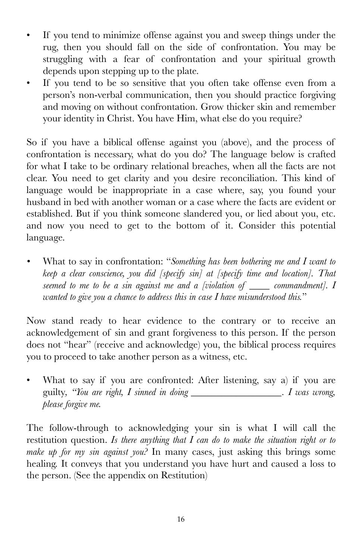- If you tend to minimize offense against you and sweep things under the rug, then you should fall on the side of confrontation. You may be struggling with a fear of confrontation and your spiritual growth depends upon stepping up to the plate.
- If you tend to be so sensitive that you often take offense even from a person's non-verbal communication, then you should practice forgiving and moving on without confrontation. Grow thicker skin and remember your identity in Christ. You have Him, what else do you require?

So if you have a biblical offense against you (above), and the process of confrontation is necessary, what do you do? The language below is crafted for what I take to be ordinary relational breaches, when all the facts are not clear. You need to get clarity and you desire reconciliation. This kind of language would be inappropriate in a case where, say, you found your husband in bed with another woman or a case where the facts are evident or established. But if you think someone slandered you, or lied about you, etc. and now you need to get to the bottom of it. Consider this potential language.

*•* What to say in confrontation: "*Something has been bothering me and I want to keep a clear conscience, you did [specify sin] at [specify time and location]. That seemed to me to be a sin against me and a [violation of \_\_\_\_ commandment]. I wanted to give you a chance to address this in case I have misunderstood this.*"

Now stand ready to hear evidence to the contrary or to receive an acknowledgement of sin and grant forgiveness to this person. If the person does not "hear" (receive and acknowledge) you, the biblical process requires you to proceed to take another person as a witness, etc.

• What to say if you are confronted: After listening, say a) if you are guilty*, "You are right, I sinned in doing \_\_\_\_\_\_\_\_\_\_\_\_\_\_\_\_\_\_. I was wrong, please forgive me.* 

The follow-through to acknowledging your sin is what I will call the restitution question. *Is there anything that I can do to make the situation right or to make up for my sin against you?* In many cases, just asking this brings some healing. It conveys that you understand you have hurt and caused a loss to the person. (See the appendix on Restitution)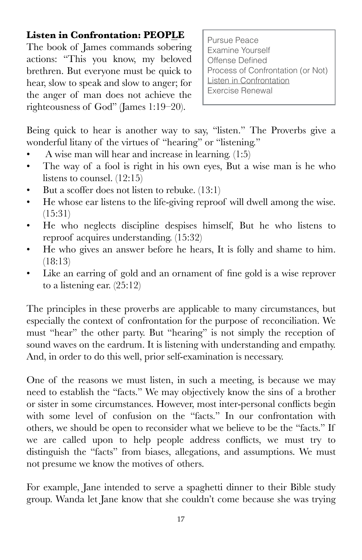## **Listen in Confrontation: PEOPLE**

The book of James commands sobering actions: "This you know, my beloved brethren. But everyone must be quick to hear, slow to speak and slow to anger; for the anger of man does not achieve the righteousness of God" (James 1:19–20).

Pursue Peace Examine Yourself Offense Defined Process of Confrontation (or Not) **Listen in Confrontation** Exercise Renewal

Being quick to hear is another way to say, "listen." The Proverbs give a wonderful litany of the virtues of "hearing" or "listening."

- A wise man will hear and increase in learning. (1:5)
- The way of a fool is right in his own eyes, But a wise man is he who listens to counsel. (12:15)
- But a scoffer does not listen to rebuke. (13:1)
- He whose ear listens to the life-giving reproof will dwell among the wise. (15:31)
- He who neglects discipline despises himself, But he who listens to reproof acquires understanding. (15:32)
- He who gives an answer before he hears, It is folly and shame to him. (18:13)
- Like an earring of gold and an ornament of fine gold is a wise reprover to a listening ear. (25:12)

The principles in these proverbs are applicable to many circumstances, but especially the context of confrontation for the purpose of reconciliation. We must "hear" the other party. But "hearing" is not simply the reception of sound waves on the eardrum. It is listening with understanding and empathy. And, in order to do this well, prior self-examination is necessary.

One of the reasons we must listen, in such a meeting, is because we may need to establish the "facts." We may objectively know the sins of a brother or sister in some circumstances. However, most inter-personal conflicts begin with some level of confusion on the "facts." In our confrontation with others, we should be open to reconsider what we believe to be the "facts." If we are called upon to help people address conflicts, we must try to distinguish the "facts" from biases, allegations, and assumptions. We must not presume we know the motives of others.

For example, Jane intended to serve a spaghetti dinner to their Bible study group. Wanda let Jane know that she couldn't come because she was trying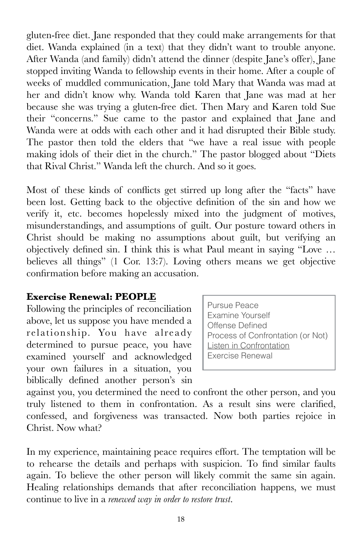gluten-free diet. Jane responded that they could make arrangements for that diet. Wanda explained (in a text) that they didn't want to trouble anyone. After Wanda (and family) didn't attend the dinner (despite Jane's offer), Jane stopped inviting Wanda to fellowship events in their home. After a couple of weeks of muddled communication, Jane told Mary that Wanda was mad at her and didn't know why. Wanda told Karen that Jane was mad at her because she was trying a gluten-free diet. Then Mary and Karen told Sue their "concerns." Sue came to the pastor and explained that Jane and Wanda were at odds with each other and it had disrupted their Bible study. The pastor then told the elders that "we have a real issue with people making idols of their diet in the church." The pastor blogged about "Diets that Rival Christ." Wanda left the church. And so it goes.

Most of these kinds of conflicts get stirred up long after the "facts" have been lost. Getting back to the objective definition of the sin and how we verify it, etc. becomes hopelessly mixed into the judgment of motives, misunderstandings, and assumptions of guilt. Our posture toward others in Christ should be making no assumptions about guilt, but verifying an objectively defined sin. I think this is what Paul meant in saying "Love … believes all things" (1 Cor. 13:7). Loving others means we get objective confirmation before making an accusation.

## **Exercise Renewal: PEOPLE**

Following the principles of reconciliation above, let us suppose you have mended a relationship. You have already determined to pursue peace, you have examined yourself and acknowledged your own failures in a situation, you biblically defined another person's sin

Pursue Peace Examine Yourself Offense Defined Process of Confrontation (or Not) Listen in Confrontation Exercise Renewal

against you, you determined the need to confront the other person, and you truly listened to them in confrontation. As a result sins were clarified, confessed, and forgiveness was transacted. Now both parties rejoice in Christ. Now what?

In my experience, maintaining peace requires effort. The temptation will be to rehearse the details and perhaps with suspicion. To find similar faults again. To believe the other person will likely commit the same sin again. Healing relationships demands that after reconciliation happens, we must continue to live in a *renewed way in order to restore trust*.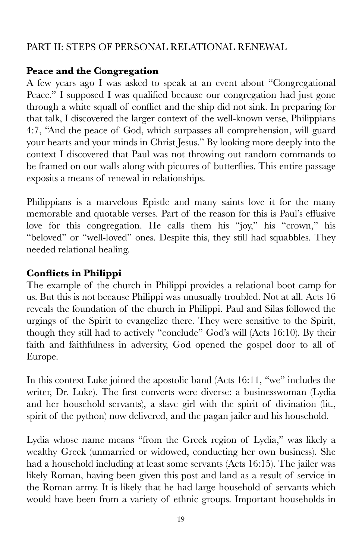#### PART II: STEPS OF PERSONAL RELATIONAL RENEWAL

#### **Peace and the Congregation**

A few years ago I was asked to speak at an event about "Congregational Peace." I supposed I was qualified because our congregation had just gone through a white squall of conflict and the ship did not sink. In preparing for that talk, I discovered the larger context of the well-known verse, Philippians 4:7, "And the peace of God, which surpasses all comprehension, will guard your hearts and your minds in Christ Jesus." By looking more deeply into the context I discovered that Paul was not throwing out random commands to be framed on our walls along with pictures of butterflies. This entire passage exposits a means of renewal in relationships.

Philippians is a marvelous Epistle and many saints love it for the many memorable and quotable verses. Part of the reason for this is Paul's effusive love for this congregation. He calls them his "joy," his "crown," his "beloved" or "well-loved" ones. Despite this, they still had squabbles. They needed relational healing.

#### **Conflicts in Philippi**

The example of the church in Philippi provides a relational boot camp for us. But this is not because Philippi was unusually troubled. Not at all. Acts 16 reveals the foundation of the church in Philippi. Paul and Silas followed the urgings of the Spirit to evangelize there. They were sensitive to the Spirit, though they still had to actively "conclude" God's will (Acts 16:10). By their faith and faithfulness in adversity, God opened the gospel door to all of Europe.

In this context Luke joined the apostolic band (Acts 16:11, "we" includes the writer, Dr. Luke). The first converts were diverse: a businesswoman (Lydia and her household servants), a slave girl with the spirit of divination (lit., spirit of the python) now delivered, and the pagan jailer and his household.

Lydia whose name means "from the Greek region of Lydia," was likely a wealthy Greek (unmarried or widowed, conducting her own business). She had a household including at least some servants (Acts 16:15). The jailer was likely Roman, having been given this post and land as a result of service in the Roman army. It is likely that he had large household of servants which would have been from a variety of ethnic groups. Important households in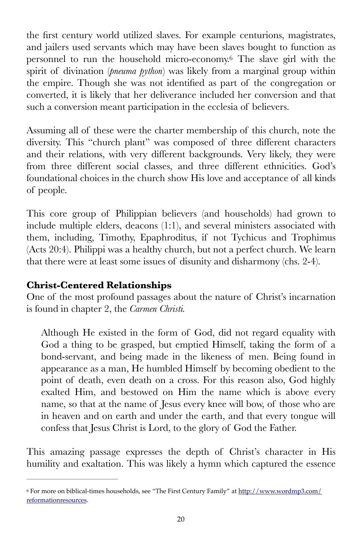<span id="page-19-1"></span>the first century world utilized slaves. For example centurions, magistrates, and jailers used servants which may have been slaves bought to function as personnel to run the household micro-economy[.](#page-19-0)<sup>[6](#page-19-0)</sup> The slave girl with the spirit of divination (*pneuma python*) was likely from a marginal group within the empire. Though she was not identified as part of the congregation or converted, it is likely that her deliverance included her conversion and that such a conversion meant participation in the ecclesia of believers.

Assuming all of these were the charter membership of this church, note the diversity. This "church plant" was composed of three different characters and their relations, with very different backgrounds. Very likely, they were from three different social classes, and three different ethnicities. God's foundational choices in the church show His love and acceptance of all kinds of people.

This core group of Philippian believers (and households) had grown to include multiple elders, deacons (1:1), and several ministers associated with them, including, Timothy, Epaphroditus, if not Tychicus and Trophimus (Acts 20:4). Philippi was a healthy church, but not a perfect church. We learn that there were at least some issues of disunity and disharmony (chs. 2-4).

#### **Christ-Centered Relationships**

One of the most profound passages about the nature of Christ's incarnation is found in chapter 2, the *Carmen Christi.* 

Although He existed in the form of God, did not regard equality with God a thing to be grasped, but emptied Himself, taking the form of a bond-servant, and being made in the likeness of men. Being found in appearance as a man, He humbled Himself by becoming obedient to the point of death, even death on a cross. For this reason also, God highly exalted Him, and bestowed on Him the name which is above every name, so that at the name of Jesus every knee will bow, of those who are in heaven and on earth and under the earth, and that every tongue will confess that Jesus Christ is Lord, to the glory of God the Father.

This amazing passage expresses the depth of Christ's character in His humility and exaltation. This was likely a hymn which captured the essence

<span id="page-19-0"></span>[<sup>6</sup>](#page-19-1) For more on biblical-times households, see "The First Century Family" at [http://www.wordmp3.com/](http://www.wordmp3.com/reformationresources) [reformationresources.](http://www.wordmp3.com/reformationresources)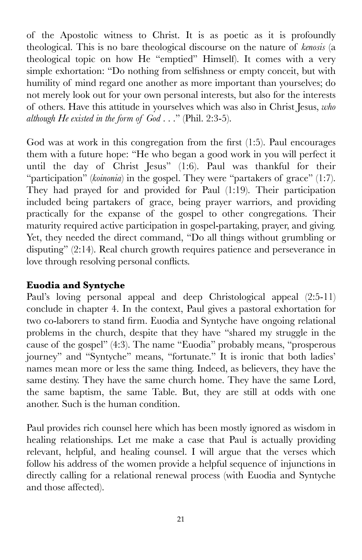of the Apostolic witness to Christ. It is as poetic as it is profoundly theological. This is no bare theological discourse on the nature of *kenosis* (a theological topic on how He "emptied" Himself). It comes with a very simple exhortation: "Do nothing from selfishness or empty conceit, but with humility of mind regard one another as more important than yourselves; do not merely look out for your own personal interests, but also for the interests of others. Have this attitude in yourselves which was also in Christ Jesus, *who although He existed in the form of God* . . ." (Phil. 2:3-5).

God was at work in this congregation from the first (1:5). Paul encourages them with a future hope: "He who began a good work in you will perfect it until the day of Christ Jesus" (1:6). Paul was thankful for their "participation" (*koinonia*) in the gospel. They were "partakers of grace" (1:7). They had prayed for and provided for Paul (1:19). Their participation included being partakers of grace, being prayer warriors, and providing practically for the expanse of the gospel to other congregations. Their maturity required active participation in gospel-partaking, prayer, and giving. Yet, they needed the direct command, "Do all things without grumbling or disputing" (2:14). Real church growth requires patience and perseverance in love through resolving personal conflicts.

#### **Euodia and Syntyche**

Paul's loving personal appeal and deep Christological appeal (2:5-11) conclude in chapter 4. In the context, Paul gives a pastoral exhortation for two co-laborers to stand firm. Euodia and Syntyche have ongoing relational problems in the church, despite that they have "shared my struggle in the cause of the gospel" (4:3). The name "Euodia" probably means, "prosperous journey" and "Syntyche" means, "fortunate." It is ironic that both ladies' names mean more or less the same thing. Indeed, as believers, they have the same destiny. They have the same church home. They have the same Lord, the same baptism, the same Table. But, they are still at odds with one another. Such is the human condition.

Paul provides rich counsel here which has been mostly ignored as wisdom in healing relationships. Let me make a case that Paul is actually providing relevant, helpful, and healing counsel. I will argue that the verses which follow his address of the women provide a helpful sequence of injunctions in directly calling for a relational renewal process (with Euodia and Syntyche and those affected).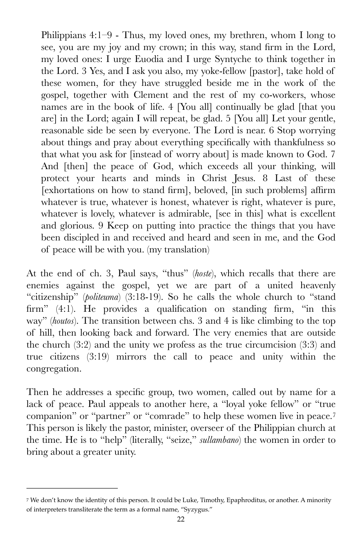Philippians 4:1–9 - Thus, my loved ones, my brethren, whom I long to see, you are my joy and my crown; in this way, stand firm in the Lord, my loved ones: I urge Euodia and I urge Syntyche to think together in the Lord. 3 Yes, and I ask you also, my yoke-fellow [pastor], take hold of these women, for they have struggled beside me in the work of the gospel, together with Clement and the rest of my co-workers, whose names are in the book of life. 4 [You all] continually be glad [that you are] in the Lord; again I will repeat, be glad. 5 [You all] Let your gentle, reasonable side be seen by everyone. The Lord is near. 6 Stop worrying about things and pray about everything specifically with thankfulness so that what you ask for [instead of worry about] is made known to God. 7 And [then] the peace of God, which exceeds all your thinking, will protect your hearts and minds in Christ Jesus. 8 Last of these [exhortations on how to stand firm], beloved, [in such problems] affirm whatever is true, whatever is honest, whatever is right, whatever is pure, whatever is lovely, whatever is admirable, [see in this] what is excellent and glorious. 9 Keep on putting into practice the things that you have been discipled in and received and heard and seen in me, and the God of peace will be with you. (my translation)

At the end of ch. 3, Paul says, "thus" (*hoste*), which recalls that there are enemies against the gospel, yet we are part of a united heavenly "citizenship" (*politeuma*) (3:18-19). So he calls the whole church to "stand firm" (4:1). He provides a qualification on standing firm, "in this way" (*houtos*). The transition between chs. 3 and 4 is like climbing to the top of hill, then looking back and forward. The very enemies that are outside the church (3:2) and the unity we profess as the true circumcision (3:3) and true citizens (3:19) mirrors the call to peace and unity within the congregation.

<span id="page-21-1"></span>Then he addresses a specific group, two women, called out by name for a lack of peace. Paul appeals to another here, a "loyal yoke fellow" or "true companion" or "partner" or "comrade" to help these women live in peace.[7](#page-21-0) This person is likely the pastor, minister, overseer of the Philippian church at the time. He is to "help" (literally, "seize," *sullambano*) the women in order to bring about a greater unity.

<span id="page-21-0"></span>[<sup>7</sup>](#page-21-1) We don't know the identity of this person. It could be Luke, Timothy, Epaphroditus, or another. A minority of interpreters transliterate the term as a formal name, "Syzygus."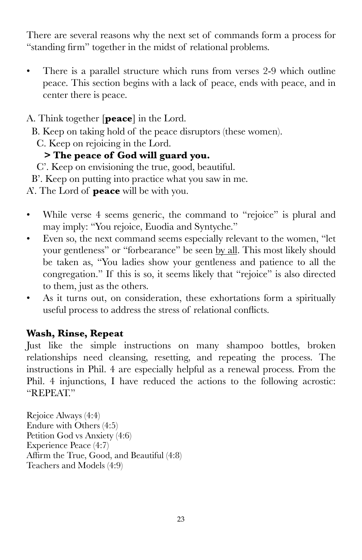There are several reasons why the next set of commands form a process for "standing firm" together in the midst of relational problems.

- There is a parallel structure which runs from verses 2-9 which outline peace. This section begins with a lack of peace, ends with peace, and in center there is peace.
- A. Think together [**peace**] in the Lord.

B. Keep on taking hold of the peace disruptors (these women).

C. Keep on rejoicing in the Lord.

## **> The peace of God will guard you.**

- C'. Keep on envisioning the true, good, beautiful.
- B'. Keep on putting into practice what you saw in me.

A'. The Lord of **peace** will be with you.

- While verse 4 seems generic, the command to "rejoice" is plural and may imply: "You rejoice, Euodia and Syntyche."
- Even so, the next command seems especially relevant to the women, "let your gentleness" or "forbearance" be seen by all. This most likely should be taken as, "You ladies show your gentleness and patience to all the congregation." If this is so, it seems likely that "rejoice" is also directed to them, just as the others.
- As it turns out, on consideration, these exhortations form a spiritually useful process to address the stress of relational conflicts.

## **Wash, Rinse, Repeat**

Just like the simple instructions on many shampoo bottles, broken relationships need cleansing, resetting, and repeating the process. The instructions in Phil. 4 are especially helpful as a renewal process. From the Phil. 4 injunctions, I have reduced the actions to the following acrostic: "REPEAT"

Rejoice Always (4:4) Endure with Others (4:5) Petition God vs Anxiety (4:6) Experience Peace (4:7) Affirm the True, Good, and Beautiful (4:8) Teachers and Models (4:9)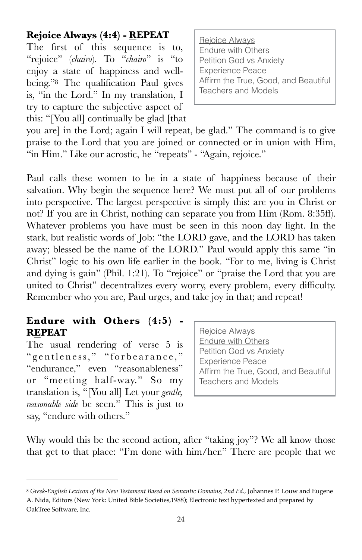## **Rejoice Always (4:4) - REPEAT**

<span id="page-23-1"></span>The first of this sequence is to, "rejoice" (*chairo*). To "*chairo*" is "to enjoy a state of happiness and well-being."<sup>[8](#page-23-0)</sup> The qualification Paul gives is, "in the Lord." In my translation, I try to capture the subjective aspect of this: "[You all] continually be glad [that Rejoice Always Endure with Others Petition God vs Anxiety Experience Peace Affirm the True, Good, and Beautiful Teachers and Models

you are] in the Lord; again I will repeat, be glad." The command is to give praise to the Lord that you are joined or connected or in union with Him, "in Him." Like our acrostic, he "repeats" - "Again, rejoice."

Paul calls these women to be in a state of happiness because of their salvation. Why begin the sequence here? We must put all of our problems into perspective. The largest perspective is simply this: are you in Christ or not? If you are in Christ, nothing can separate you from Him (Rom. 8:35ff). Whatever problems you have must be seen in this noon day light. In the stark, but realistic words of Job: "the LORD gave, and the LORD has taken away; blessed be the name of the LORD." Paul would apply this same "in Christ" logic to his own life earlier in the book. "For to me, living is Christ and dying is gain" (Phil. 1:21). To "rejoice" or "praise the Lord that you are united to Christ" decentralizes every worry, every problem, every difficulty. Remember who you are, Paul urges, and take joy in that; and repeat!

#### **Endure with Others (4:5) - REPEAT**

The usual rendering of verse 5 is " gentleness," "forbearance," "endurance," even "reasonableness" or "meeting half-way." So my translation is, "[You all] Let your *gentle, reasonable side* be seen." This is just to say, "endure with others."

Rejoice Always Endure with Others Petition God vs Anxiety Experience Peace Affirm the True, Good, and Beautiful Teachers and Models

Why would this be the second action, after "taking joy"? We all know those that get to that place: "I'm done with him/her." There are people that we

<span id="page-23-0"></span>[<sup>8</sup>](#page-23-1) *Greek-English Lexicon of the New Testament Based on Semantic Domains, 2nd Ed.,* Johannes P. Louw and Eugene A. Nida, Editors (New York: United Bible Societies,1988); Electronic text hypertexted and prepared by OakTree Software, Inc.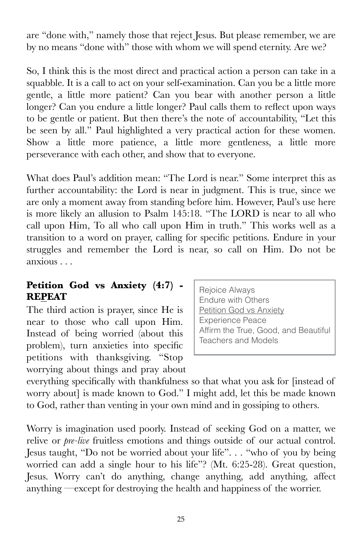are "done with," namely those that reject Jesus. But please remember, we are by no means "done with" those with whom we will spend eternity. Are we?

So, I think this is the most direct and practical action a person can take in a squabble. It is a call to act on your self-examination. Can you be a little more gentle, a little more patient? Can you bear with another person a little longer? Can you endure a little longer? Paul calls them to reflect upon ways to be gentle or patient. But then there's the note of accountability, "Let this be seen by all." Paul highlighted a very practical action for these women. Show a little more patience, a little more gentleness, a little more perseverance with each other, and show that to everyone.

What does Paul's addition mean: "The Lord is near." Some interpret this as further accountability: the Lord is near in judgment. This is true, since we are only a moment away from standing before him. However, Paul's use here is more likely an allusion to Psalm 145:18. "The LORD is near to all who call upon Him, To all who call upon Him in truth." This works well as a transition to a word on prayer, calling for specific petitions. Endure in your struggles and remember the Lord is near, so call on Him. Do not be anxious . . .

#### **Petition God vs Anxiety (4:7) - REPEAT**

The third action is prayer, since He is near to those who call upon Him. Instead of being worried (about this problem), turn anxieties into specific petitions with thanksgiving. "Stop worrying about things and pray about



everything specifically with thankfulness so that what you ask for [instead of worry about] is made known to God." I might add, let this be made known to God, rather than venting in your own mind and in gossiping to others.

Worry is imagination used poorly. Instead of seeking God on a matter, we relive or *pre-live* fruitless emotions and things outside of our actual control. Jesus taught, "Do not be worried about your life". . . "who of you by being worried can add a single hour to his life"? (Mt. 6:25-28). Great question, Jesus. Worry can't do anything, change anything, add anything, affect anything —except for destroying the health and happiness of the worrier.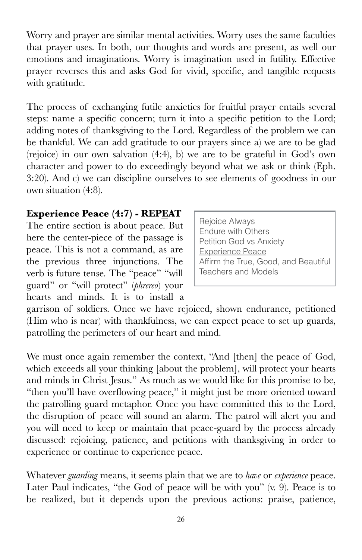Worry and prayer are similar mental activities. Worry uses the same faculties that prayer uses. In both, our thoughts and words are present, as well our emotions and imaginations. Worry is imagination used in futility. Effective prayer reverses this and asks God for vivid, specific, and tangible requests with gratitude.

The process of exchanging futile anxieties for fruitful prayer entails several steps: name a specific concern; turn it into a specific petition to the Lord; adding notes of thanksgiving to the Lord. Regardless of the problem we can be thankful. We can add gratitude to our prayers since a) we are to be glad (rejoice) in our own salvation (4:4), b) we are to be grateful in God's own character and power to do exceedingly beyond what we ask or think (Eph. 3:20). And c) we can discipline ourselves to see elements of goodness in our own situation (4:8).

#### **Experience Peace (4:7) - REPEAT**

The entire section is about peace. But here the center-piece of the passage is peace. This is not a command, as are the previous three injunctions. The verb is future tense. The "peace" "will guard" or "will protect" (*phrereo*) your hearts and minds. It is to install a

Rejoice Always Endure with Others Petition God vs Anxiety Experience Peace Affirm the True, Good, and Beautiful Teachers and Models

garrison of soldiers. Once we have rejoiced, shown endurance, petitioned (Him who is near) with thankfulness, we can expect peace to set up guards, patrolling the perimeters of our heart and mind.

We must once again remember the context, "And [then] the peace of God, which exceeds all your thinking [about the problem], will protect your hearts and minds in Christ Jesus." As much as we would like for this promise to be, "then you'll have overflowing peace," it might just be more oriented toward the patrolling guard metaphor. Once you have committed this to the Lord, the disruption of peace will sound an alarm. The patrol will alert you and you will need to keep or maintain that peace-guard by the process already discussed: rejoicing, patience, and petitions with thanksgiving in order to experience or continue to experience peace.

Whatever *guarding* means, it seems plain that we are to *have* or *experience* peace. Later Paul indicates, "the God of peace will be with you" (v. 9). Peace is to be realized, but it depends upon the previous actions: praise, patience,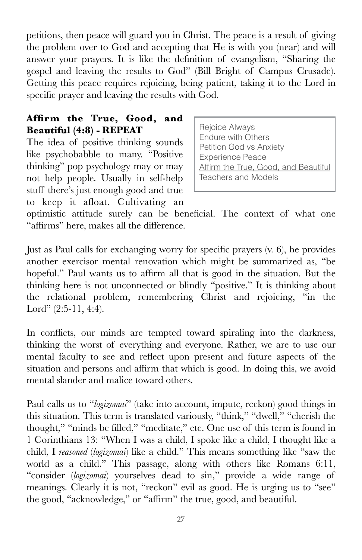petitions, then peace will guard you in Christ. The peace is a result of giving the problem over to God and accepting that He is with you (near) and will answer your prayers. It is like the definition of evangelism, "Sharing the gospel and leaving the results to God" (Bill Bright of Campus Crusade). Getting this peace requires rejoicing, being patient, taking it to the Lord in specific prayer and leaving the results with God.

## **Affirm the True, Good, and Beautiful (4:8) - REPEAT**

The idea of positive thinking sounds like psychobabble to many. "Positive thinking" pop psychology may or may not help people. Usually in self-help stuff there's just enough good and true to keep it afloat. Cultivating an

Rejoice Always Endure with Others Petition God vs Anxiety Experience Peace Affirm the True, Good, and Beautiful Teachers and Models

optimistic attitude surely can be beneficial. The context of what one "affirms" here, makes all the difference.

Just as Paul calls for exchanging worry for specific prayers (v. 6), he provides another exercisor mental renovation which might be summarized as, "be hopeful." Paul wants us to affirm all that is good in the situation. But the thinking here is not unconnected or blindly "positive." It is thinking about the relational problem, remembering Christ and rejoicing, "in the Lord" (2:5-11, 4:4).

In conflicts, our minds are tempted toward spiraling into the darkness, thinking the worst of everything and everyone. Rather, we are to use our mental faculty to see and reflect upon present and future aspects of the situation and persons and affirm that which is good. In doing this, we avoid mental slander and malice toward others.

Paul calls us to "*logizomai*" (take into account, impute, reckon) good things in this situation. This term is translated variously, "think," "dwell," "cherish the thought," "minds be filled," "meditate," etc. One use of this term is found in 1 Corinthians 13: "When I was a child, I spoke like a child, I thought like a child, I *reasoned* (*logizomai*) like a child." This means something like "saw the world as a child." This passage, along with others like Romans 6:11, "consider (*logizomai*) yourselves dead to sin," provide a wide range of meanings. Clearly it is not, "reckon" evil as good. He is urging us to "see" the good, "acknowledge," or "affirm" the true, good, and beautiful.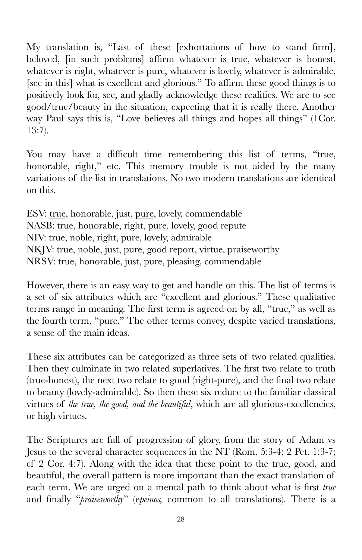My translation is, "Last of these [exhortations of how to stand firm], beloved, [in such problems] affirm whatever is true, whatever is honest, whatever is right, whatever is pure, whatever is lovely, whatever is admirable, [see in this] what is excellent and glorious." To affirm these good things is to positively look for, see, and gladly acknowledge these realities. We are to see good/true/beauty in the situation, expecting that it is really there. Another way Paul says this is, "Love believes all things and hopes all things" (1Cor. 13:7).

You may have a difficult time remembering this list of terms, "true, honorable, right," etc. This memory trouble is not aided by the many variations of the list in translations. No two modern translations are identical on this.

ESV: true, honorable, just, pure, lovely, commendable NASB: true, honorable, right, pure, lovely, good repute NIV: true, noble, right, pure, lovely, admirable NKJV: true, noble, just, pure, good report, virtue, praiseworthy NRSV: true, honorable, just, pure, pleasing, commendable

However, there is an easy way to get and handle on this. The list of terms is a set of six attributes which are "excellent and glorious." These qualitative terms range in meaning. The first term is agreed on by all, "true," as well as the fourth term, "pure." The other terms convey, despite varied translations, a sense of the main ideas.

These six attributes can be categorized as three sets of two related qualities. Then they culminate in two related superlatives. The first two relate to truth (true-honest), the next two relate to good (right-pure), and the final two relate to beauty (lovely-admirable). So then these six reduce to the familiar classical virtues of *the true, the good, and the beautiful*, which are all glorious-excellencies, or high virtues.

The Scriptures are full of progression of glory, from the story of Adam vs Jesus to the several character sequences in the NT (Rom. 5:3-4; 2 Pet. 1:3-7; cf 2 Cor. 4:7). Along with the idea that these point to the true, good, and beautiful, the overall pattern is more important than the exact translation of each term. We are urged on a mental path to think about what is first *true* and finally "*praiseworthy*" (e*peinos,* common to all translations). There is a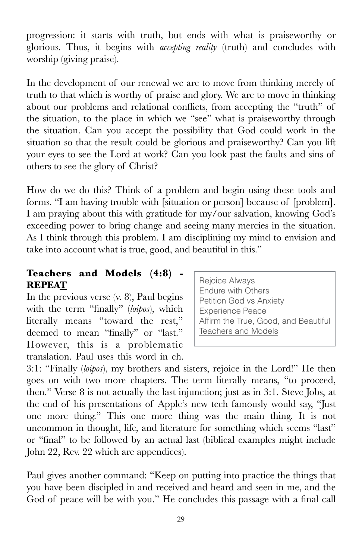progression: it starts with truth, but ends with what is praiseworthy or glorious. Thus, it begins with *accepting reality* (truth) and concludes with worship (giving praise).

In the development of our renewal we are to move from thinking merely of truth to that which is worthy of praise and glory. We are to move in thinking about our problems and relational conflicts, from accepting the "truth" of the situation, to the place in which we "see" what is praiseworthy through the situation. Can you accept the possibility that God could work in the situation so that the result could be glorious and praiseworthy? Can you lift your eyes to see the Lord at work? Can you look past the faults and sins of others to see the glory of Christ?

How do we do this? Think of a problem and begin using these tools and forms. "I am having trouble with [situation or person] because of [problem]. I am praying about this with gratitude for my/our salvation, knowing God's exceeding power to bring change and seeing many mercies in the situation. As I think through this problem. I am disciplining my mind to envision and take into account what is true, good, and beautiful in this."

## **Teachers and Models (4:8) - REPEAT**

In the previous verse (v. 8), Paul begins with the term "finally" (*loipos*), which literally means "toward the rest," deemed to mean "finally" or "last." However, this is a problematic translation. Paul uses this word in ch. Rejoice Always Endure with Others Petition God vs Anxiety Experience Peace Affirm the True, Good, and Beautiful Teachers and Models

3:1: "Finally (*loipos*), my brothers and sisters, rejoice in the Lord!" He then goes on with two more chapters. The term literally means, "to proceed, then." Verse 8 is not actually the last injunction; just as in 3:1. Steve Jobs, at the end of his presentations of Apple's new tech famously would say, "Just one more thing." This one more thing was the main thing. It is not uncommon in thought, life, and literature for something which seems "last" or "final" to be followed by an actual last (biblical examples might include John 22, Rev. 22 which are appendices).

Paul gives another command: "Keep on putting into practice the things that you have been discipled in and received and heard and seen in me, and the God of peace will be with you." He concludes this passage with a final call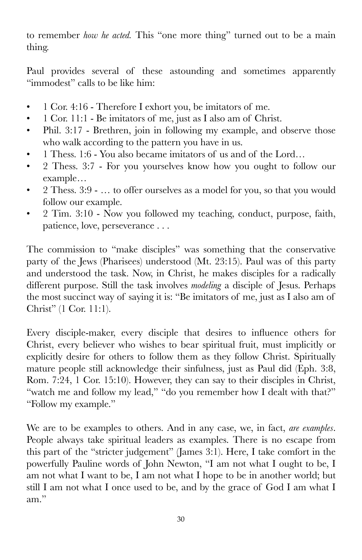to remember *how he acted.* This "one more thing" turned out to be a main thing.

Paul provides several of these astounding and sometimes apparently "immodest" calls to be like him:

- 1 Cor. 4:16 Therefore I exhort you, be imitators of me.
- 1 Cor. 11:1 Be imitators of me, just as I also am of Christ.
- Phil. 3:17 Brethren, join in following my example, and observe those who walk according to the pattern you have in us.
- 1 Thess. 1:6 You also became imitators of us and of the Lord…
- 2 Thess. 3:7 For you yourselves know how you ought to follow our example…
- 2 Thess. 3:9 … to offer ourselves as a model for you, so that you would follow our example.
- 2 Tim. 3:10 Now you followed my teaching, conduct, purpose, faith, patience, love, perseverance . . .

The commission to "make disciples" was something that the conservative party of the Jews (Pharisees) understood (Mt. 23:15). Paul was of this party and understood the task. Now, in Christ, he makes disciples for a radically different purpose. Still the task involves *modeling* a disciple of Jesus. Perhaps the most succinct way of saying it is: "Be imitators of me, just as I also am of Christ" (1 Cor. 11:1).

Every disciple-maker, every disciple that desires to influence others for Christ, every believer who wishes to bear spiritual fruit, must implicitly or explicitly desire for others to follow them as they follow Christ. Spiritually mature people still acknowledge their sinfulness, just as Paul did (Eph. 3:8, Rom. 7:24, 1 Cor. 15:10). However, they can say to their disciples in Christ, "watch me and follow my lead," "do you remember how I dealt with that?" "Follow my example."

We are to be examples to others. And in any case, we, in fact, *are examples*. People always take spiritual leaders as examples. There is no escape from this part of the "stricter judgement" (James 3:1). Here, I take comfort in the powerfully Pauline words of John Newton, "I am not what I ought to be, I am not what I want to be, I am not what I hope to be in another world; but still I am not what I once used to be, and by the grace of God I am what I am."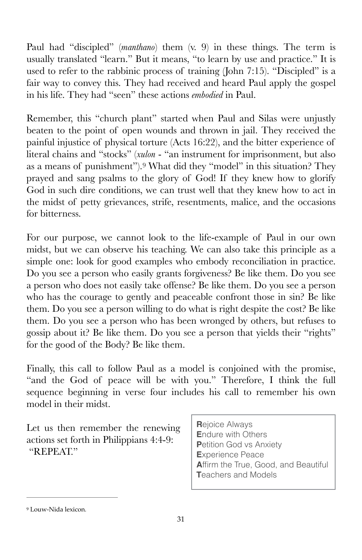Paul had "discipled" (*manthano*) them (v. 9) in these things. The term is usually translated "learn." But it means, "to learn by use and practice." It is used to refer to the rabbinic process of training (John 7:15). "Discipled" is a fair way to convey this. They had received and heard Paul apply the gospel in his life. They had "seen" these actions *embodied* in Paul.

<span id="page-30-1"></span>Remember, this "church plant" started when Paul and Silas were unjustly beaten to the point of open wounds and thrown in jail. They received the painful injustice of physical torture (Acts 16:22), and the bitter experience of literal chains and "stocks" (*xulon* - "an instrument for imprisonment, but also as a means of punishment").<sup>[9](#page-30-0)</sup> What did they "model" in this situation? They prayed and sang psalms to the glory of God! If they knew how to glorify God in such dire conditions, we can trust well that they knew how to act in the midst of petty grievances, strife, resentments, malice, and the occasions for bitterness.

For our purpose, we cannot look to the life-example of Paul in our own midst, but we can observe his teaching. We can also take this principle as a simple one: look for good examples who embody reconciliation in practice. Do you see a person who easily grants forgiveness? Be like them. Do you see a person who does not easily take offense? Be like them. Do you see a person who has the courage to gently and peaceable confront those in sin? Be like them. Do you see a person willing to do what is right despite the cost? Be like them. Do you see a person who has been wronged by others, but refuses to gossip about it? Be like them. Do you see a person that yields their "rights" for the good of the Body? Be like them.

Finally, this call to follow Paul as a model is conjoined with the promise, "and the God of peace will be with you." Therefore, I think the full sequence beginning in verse four includes his call to remember his own model in their midst.

Let us then remember the renewing actions set forth in Philippians 4:4-9: "REPEAT."

**R**ejoice Always **E**ndure with Others **P**etition God vs Anxiety **E**xperience Peace **A**ffirm the True, Good, and Beautiful **T**eachers and Models

<span id="page-30-0"></span>[<sup>9</sup>](#page-30-1) Louw-Nida lexicon*.*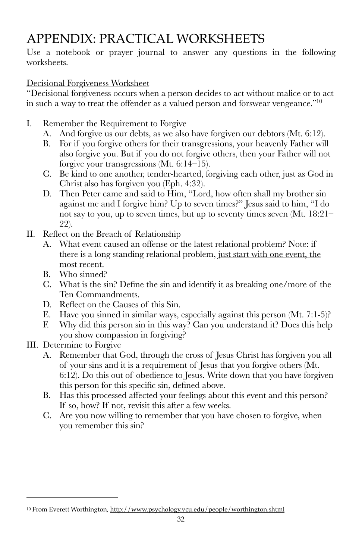## APPENDIX: PRACTICAL WORKSHEETS

Use a notebook or prayer journal to answer any questions in the following worksheets.

#### Decisional Forgiveness Worksheet

"Decisional forgiveness occurs when a person decides to act without malice or to act in such a way to treat the offender as a valued person and forswear vengeance." $^{10}$ 

#### I. Remember the Requirement to Forgive

- <span id="page-31-1"></span>A. And forgive us our debts, as we also have forgiven our debtors (Mt. 6:12).
- B. For if you forgive others for their transgressions, your heavenly Father will also forgive you. But if you do not forgive others, then your Father will not forgive your transgressions (Mt. 6:14–15).
- C. Be kind to one another, tender-hearted, forgiving each other, just as God in Christ also has forgiven you (Eph. 4:32).
- D. Then Peter came and said to Him, "Lord, how often shall my brother sin against me and I forgive him? Up to seven times?" Jesus said to him, "I do not say to you, up to seven times, but up to seventy times seven (Mt. 18:21– 22).
- II. Reflect on the Breach of Relationship
	- A. What event caused an offense or the latest relational problem? Note: if there is a long standing relational problem, just start with one event, the most recent.
	- B. Who sinned?
	- C. What is the sin? Define the sin and identify it as breaking one/more of the Ten Commandments.
	- D. Reflect on the Causes of this Sin.
	- E. Have you sinned in similar ways, especially against this person (Mt. 7:1-5)?
	- F. Why did this person sin in this way? Can you understand it? Does this help you show compassion in forgiving?
- III. Determine to Forgive
	- A. Remember that God, through the cross of Jesus Christ has forgiven you all of your sins and it is a requirement of Jesus that you forgive others (Mt. 6:12). Do this out of obedience to Jesus. Write down that you have forgiven this person for this specific sin, defined above.
	- B. Has this processed affected your feelings about this event and this person? If so, how? If not, revisit this after a few weeks.
	- C. Are you now willing to remember that you have chosen to forgive, when you remember this sin?

<span id="page-31-0"></span>[<sup>10</sup>](#page-31-1) From Everett Worthington,<http://www.psychology.vcu.edu/people/worthington.shtml>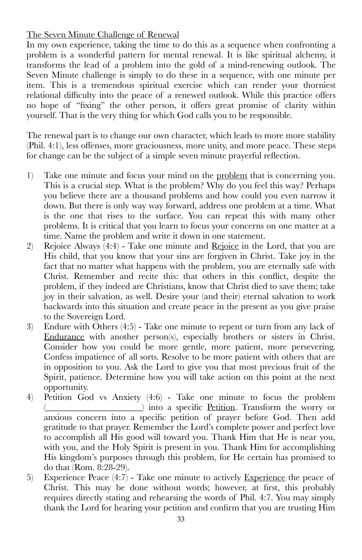#### The Seven Minute Challenge of Renewal

In my own experience, taking the time to do this as a sequence when confronting a problem is a wonderful pattern for mental renewal. It is like spiritual alchemy, it transforms the lead of a problem into the gold of a mind-renewing outlook. The Seven Minute challenge is simply to do these in a sequence, with one minute per item. This is a tremendous spiritual exercise which can render your thorniest relational difficulty into the peace of a renewed outlook. While this practice offers no hope of "fixing" the other person, it offers great promise of clarity within yourself. That is the very thing for which God calls you to be responsible.

The renewal part is to change our own character, which leads to more more stability (Phil. 4:1), less offenses, more graciousness, more unity, and more peace. These steps for change can be the subject of a simple seven minute prayerful reflection.

- 1) Take one minute and focus your mind on the problem that is concerning you. This is a crucial step. What is the problem? Why do you feel this way? Perhaps you believe there are a thousand problems and how could you even narrow it down. But there is only way way forward, address one problem at a time. What is the one that rises to the surface. You can repeat this with many other problems. It is critical that you learn to focus your concerns on one matter at a time. Name the problem and write it down in one statement.
- 2) Rejoice Always  $(4:4)$  Take one minute and Rejoice in the Lord, that you are His child, that you know that your sins are forgiven in Christ. Take joy in the fact that no matter what happens with the problem, you are eternally safe with Christ. Remember and recite this: that others in this conflict, despite the problem, if they indeed are Christians, know that Christ died to save them; take joy in their salvation, as well. Desire your (and their) eternal salvation to work backwards into this situation and create peace in the present as you give praise to the Sovereign Lord.
- 3) Endure with Others (4:5) Take one minute to repent or turn from any lack of Endurance with another person(s), especially brothers or sisters in Christ. Consider how you could be more gentle, more patient, more persevering. Confess impatience of all sorts. Resolve to be more patient with others that are in opposition to you. Ask the Lord to give you that most precious fruit of the Spirit, patience. Determine how you will take action on this point at the next opportunity.
- 4) Petition God vs Anxiety (4:6) Take one minute to focus the problem  $\Box$ ) into a specific Petition. Transform the worry or anxious concern into a specific petition of prayer before God. Then add gratitude to that prayer. Remember the Lord's complete power and perfect love to accomplish all His good will toward you. Thank Him that He is near you, with you, and the Holy Spirit is present in you. Thank Him for accomplishing His kingdom's purposes through this problem, for He certain has promised to do that (Rom. 8:28-29).
- 5) Experience Peace  $(4:7)$  Take one minute to actively Experience the peace of Christ. This may be done without words; however, at first, this probably requires directly stating and rehearsing the words of Phil. 4:7. You may simply thank the Lord for hearing your petition and confirm that you are trusting Him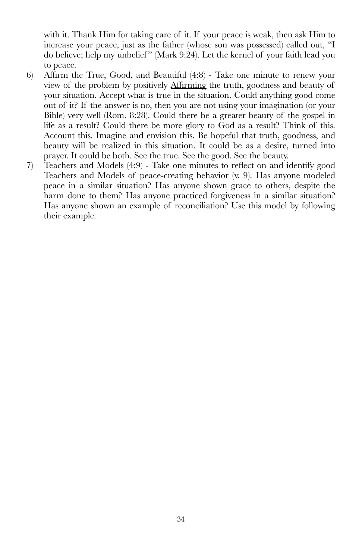with it. Thank Him for taking care of it. If your peace is weak, then ask Him to increase your peace, just as the father (whose son was possessed) called out, "I do believe; help my unbelief" (Mark 9:24). Let the kernel of your faith lead you to peace.

- 6) Affirm the True, Good, and Beautiful (4:8) Take one minute to renew your view of the problem by positively Affirming the truth, goodness and beauty of your situation. Accept what is true in the situation. Could anything good come out of it? If the answer is no, then you are not using your imagination (or your Bible) very well (Rom. 8:28). Could there be a greater beauty of the gospel in life as a result? Could there be more glory to God as a result? Think of this. Account this. Imagine and envision this. Be hopeful that truth, goodness, and beauty will be realized in this situation. It could be as a desire, turned into prayer. It could be both. See the true. See the good. See the beauty.
- 7) Teachers and Models (4:9) Take one minutes to reflect on and identify good Teachers and Models of peace-creating behavior (v. 9). Has anyone modeled peace in a similar situation? Has anyone shown grace to others, despite the harm done to them? Has anyone practiced forgiveness in a similar situation? Has anyone shown an example of reconciliation? Use this model by following their example.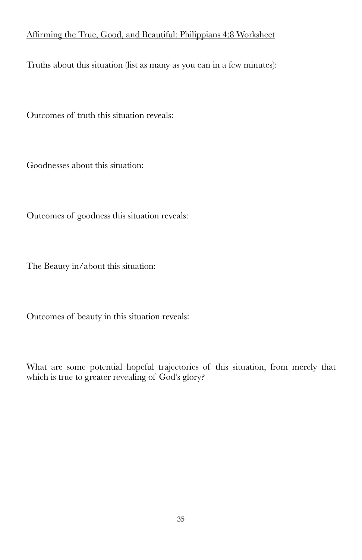#### Affirming the True, Good, and Beautiful: Philippians 4:8 Worksheet

Truths about this situation (list as many as you can in a few minutes):

Outcomes of truth this situation reveals:

Goodnesses about this situation:

Outcomes of goodness this situation reveals:

The Beauty in/about this situation:

Outcomes of beauty in this situation reveals:

What are some potential hopeful trajectories of this situation, from merely that which is true to greater revealing of God's glory?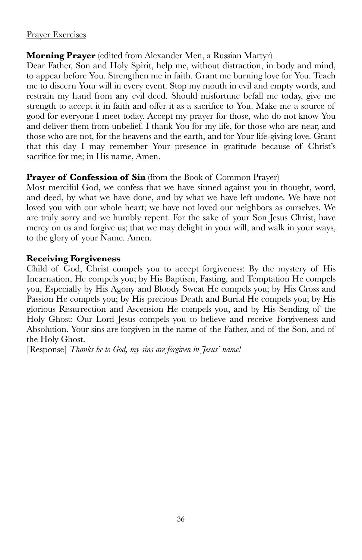#### Prayer Exercises

#### **Morning Prayer** (edited from Alexander Men, a Russian Martyr)

Dear Father, Son and Holy Spirit, help me, without distraction, in body and mind, to appear before You. Strengthen me in faith. Grant me burning love for You. Teach me to discern Your will in every event. Stop my mouth in evil and empty words, and restrain my hand from any evil deed. Should misfortune befall me today, give me strength to accept it in faith and offer it as a sacrifice to You. Make me a source of good for everyone I meet today. Accept my prayer for those, who do not know You and deliver them from unbelief. I thank You for my life, for those who are near, and those who are not, for the heavens and the earth, and for Your life-giving love. Grant that this day I may remember Your presence in gratitude because of Christ's sacrifice for me; in His name, Amen.

#### **Prayer of Confession of Sin** (from the Book of Common Prayer)

Most merciful God, we confess that we have sinned against you in thought, word, and deed, by what we have done, and by what we have left undone. We have not loved you with our whole heart; we have not loved our neighbors as ourselves. We are truly sorry and we humbly repent. For the sake of your Son Jesus Christ, have mercy on us and forgive us; that we may delight in your will, and walk in your ways, to the glory of your Name. Amen.

#### **Receiving Forgiveness**

Child of God, Christ compels you to accept forgiveness: By the mystery of His Incarnation, He compels you; by His Baptism, Fasting, and Temptation He compels you, Especially by His Agony and Bloody Sweat He compels you; by His Cross and Passion He compels you; by His precious Death and Burial He compels you; by His glorious Resurrection and Ascension He compels you, and by His Sending of the Holy Ghost: Our Lord Jesus compels you to believe and receive Forgiveness and Absolution. Your sins are forgiven in the name of the Father, and of the Son, and of the Holy Ghost.

[Response] *Thanks be to God, my sins are forgiven in Jesus' name!*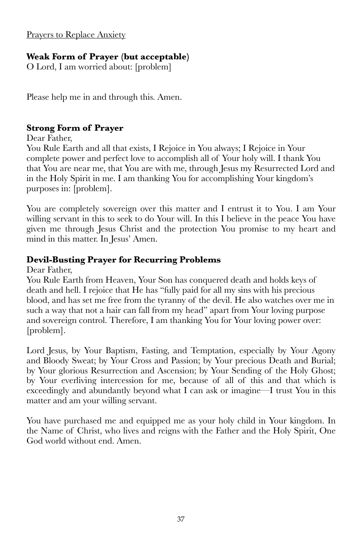#### Prayers to Replace Anxiety

#### **Weak Form of Prayer (but acceptable)**

O Lord, I am worried about: [problem]

Please help me in and through this. Amen.

#### **Strong Form of Prayer**

Dear Father,

You Rule Earth and all that exists, I Rejoice in You always; I Rejoice in Your complete power and perfect love to accomplish all of Your holy will. I thank You that You are near me, that You are with me, through Jesus my Resurrected Lord and in the Holy Spirit in me. I am thanking You for accomplishing Your kingdom's purposes in: [problem].

You are completely sovereign over this matter and I entrust it to You. I am Your willing servant in this to seek to do Your will. In this I believe in the peace You have given me through Jesus Christ and the protection You promise to my heart and mind in this matter. In Jesus' Amen.

#### **Devil-Busting Prayer for Recurring Problems**

Dear Father,

You Rule Earth from Heaven, Your Son has conquered death and holds keys of death and hell. I rejoice that He has "fully paid for all my sins with his precious blood, and has set me free from the tyranny of the devil. He also watches over me in such a way that not a hair can fall from my head" apart from Your loving purpose and sovereign control. Therefore, I am thanking You for Your loving power over: [problem].

Lord Jesus, by Your Baptism, Fasting, and Temptation, especially by Your Agony and Bloody Sweat; by Your Cross and Passion; by Your precious Death and Burial; by Your glorious Resurrection and Ascension; by Your Sending of the Holy Ghost; by Your everliving intercession for me, because of all of this and that which is exceedingly and abundantly beyond what I can ask or imagine—I trust You in this matter and am your willing servant.

You have purchased me and equipped me as your holy child in Your kingdom. In the Name of Christ, who lives and reigns with the Father and the Holy Spirit, One God world without end. Amen.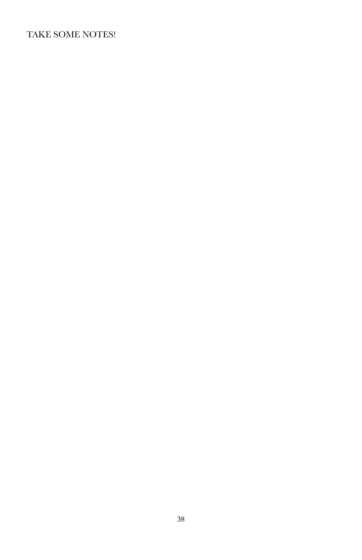## TAKE SOME NOTES!